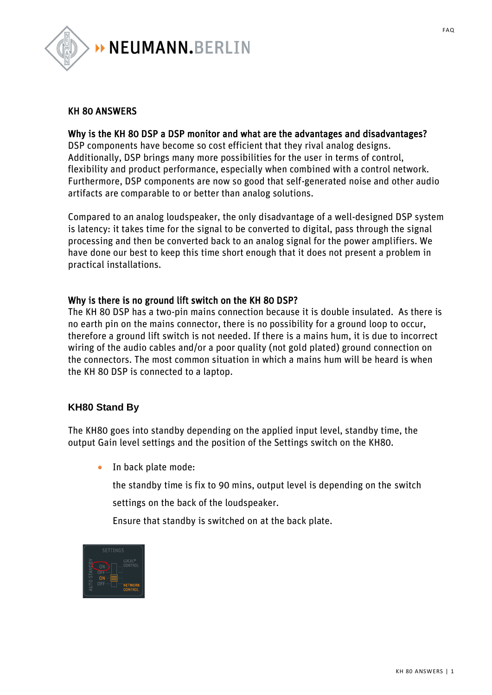

#### KH 80 ANSWERS

#### Why is the KH 80 DSP a DSP monitor and what are the advantages and disadvantages?

DSP components have become so cost efficient that they rival analog designs. Additionally, DSP brings many more possibilities for the user in terms of control, flexibility and product performance, especially when combined with a control network. Furthermore, DSP components are now so good that self-generated noise and other audio artifacts are comparable to or better than analog solutions.

Compared to an analog loudspeaker, the only disadvantage of a well-designed DSP system is latency: it takes time for the signal to be converted to digital, pass through the signal processing and then be converted back to an analog signal for the power amplifiers. We have done our best to keep this time short enough that it does not present a problem in practical installations.

#### Why is there is no ground lift switch on the KH 80 DSP?

The KH 80 DSP has a two-pin mains connection because it is double insulated. As there is no earth pin on the mains connector, there is no possibility for a ground loop to occur, therefore a ground lift switch is not needed. If there is a mains hum, it is due to incorrect wiring of the audio cables and/or a poor quality (not gold plated) ground connection on the connectors. The most common situation in which a mains hum will be heard is when the KH 80 DSP is connected to a laptop.

#### **KH80 Stand By**

The KH80 goes into standby depending on the applied input level, standby time, the output Gain level settings and the position of the Settings switch on the KH80.

• In back plate mode:

the standby time is fix to 90 mins, output level is depending on the switch

settings on the back of the loudspeaker.

Ensure that standby is switched on at the back plate.

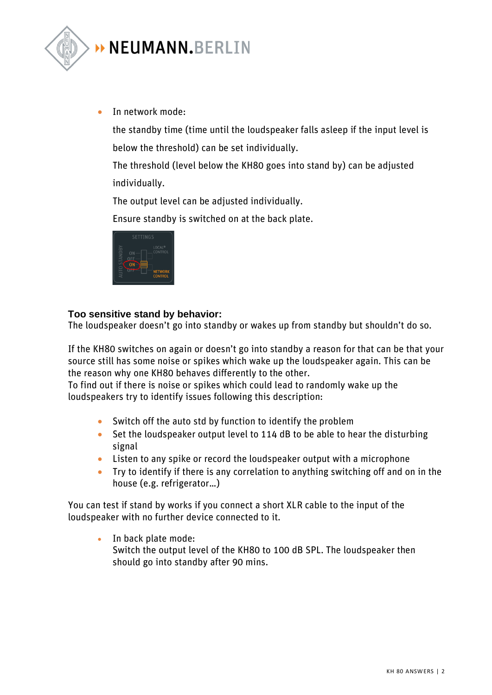

• In network mode:

the standby time (time until the loudspeaker falls asleep if the input level is below the threshold) can be set individually.

The threshold (level below the KH80 goes into stand by) can be adjusted individually.

The output level can be adjusted individually.

Ensure standby is switched on at the back plate.



#### **Too sensitive stand by behavior:**

The loudspeaker doesn't go into standby or wakes up from standby but shouldn't do so.

If the KH80 switches on again or doesn't go into standby a reason for that can be that your source still has some noise or spikes which wake up the loudspeaker again. This can be the reason why one KH80 behaves differently to the other.

To find out if there is noise or spikes which could lead to randomly wake up the loudspeakers try to identify issues following this description:

- Switch off the auto std by function to identify the problem
- Set the loudspeaker output level to 114 dB to be able to hear the disturbing signal
- Listen to any spike or record the loudspeaker output with a microphone
- Try to identify if there is any correlation to anything switching off and on in the house (e.g. refrigerator…)

You can test if stand by works if you connect a short XLR cable to the input of the loudspeaker with no further device connected to it.

• In back plate mode: Switch the output level of the KH80 to 100 dB SPL. The loudspeaker then should go into standby after 90 mins.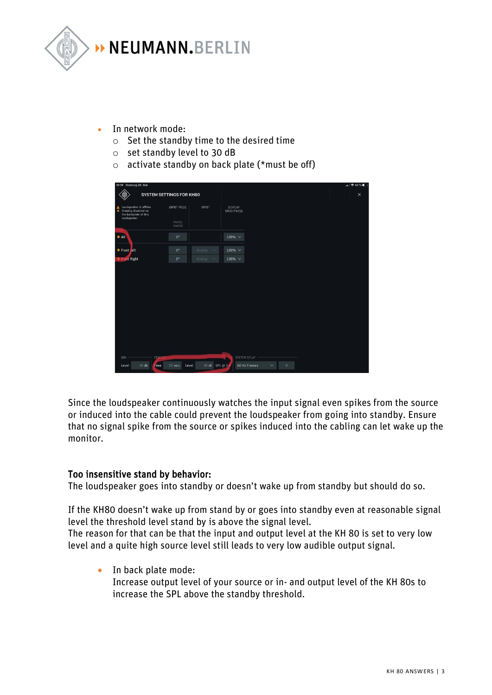

- In network mode:
	- $\circ$  Set the standby time to the desired time
	- o set standby level to 30 dB
	- $\circ$  activate standby on back plate (\*must be off)

| 10:19 Dienstag 26. Mai                                                                                                                                                      |                                      |                              |                              |              |                              | $  $ $\approx$ 43 % |
|-----------------------------------------------------------------------------------------------------------------------------------------------------------------------------|--------------------------------------|------------------------------|------------------------------|--------------|------------------------------|---------------------|
|                                                                                                                                                                             | SYSTEM SETTINGS FOR KH80             |                              |                              |              |                              | $\times$            |
| Loudspeaker is offline<br>$\begin{tabular}{ll} \bf A & Loudspeaker is of film \\ \hline & \bf Standby disabled on \\ \end{tabular}$<br>the backplate of this<br>loudspeaker | INPUT MODE<br>PHASE<br><b>INVERT</b> | INPUT                        | DISPLAY<br><b>BRIGHTNESS</b> |              |                              |                     |
| $*$ All                                                                                                                                                                     | $0^{\circ}$                          |                              | $100\% \sim$                 |              |                              |                     |
| <b>*</b> Front Left                                                                                                                                                         | $0^{\circ}$                          | Analog<br>$\scriptstyle\sim$ | $100\% \; \vee$              |              |                              |                     |
| <b>Eront Right</b>                                                                                                                                                          | $0^{\circ}$                          | Analog                       | $100\% \sim$                 |              |                              |                     |
|                                                                                                                                                                             |                                      |                              |                              |              |                              |                     |
| DIM<br><b>STANDB</b><br>$20$ dB<br>Level<br>Time                                                                                                                            | $10$ mins<br>Level                   | 30 dB SPL @ 1                | SYSTEM DELAY                 | 60 Hz Frames | $\mathbf{0}$<br>$\checkmark$ |                     |
|                                                                                                                                                                             |                                      |                              |                              |              |                              |                     |

Since the loudspeaker continuously watches the input signal even spikes from the source or induced into the cable could prevent the loudspeaker from going into standby. Ensure that no signal spike from the source or spikes induced into the cabling can let wake up the monitor.

#### Too insensitive stand by behavior:

The loudspeaker goes into standby or doesn't wake up from standby but should do so.

If the KH80 doesn't wake up from stand by or goes into standby even at reasonable signal level the threshold level stand by is above the signal level.

The reason for that can be that the input and output level at the KH 80 is set to very low level and a quite high source level still leads to very low audible output signal.

• In back plate mode: Increase output level of your source or in- and output level of the KH 80s to increase the SPL above the standby threshold.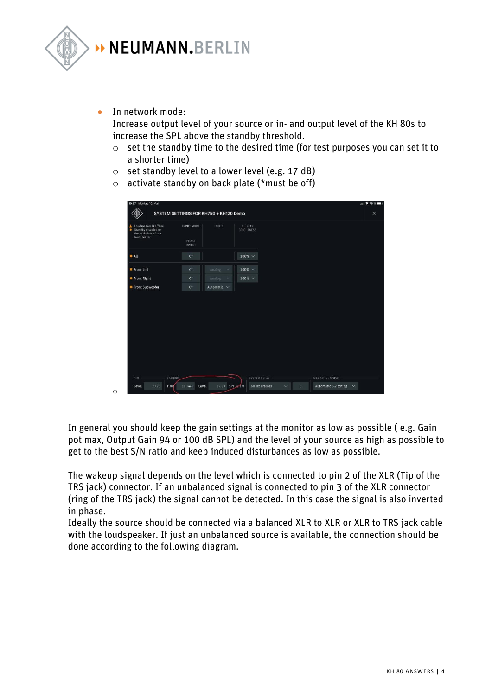

• In network mode:

o

Increase output level of your source or in- and output level of the KH 80s to increase the SPL above the standby threshold.

- o set the standby time to the desired time (for test purposes you can set it to a shorter time)
- $\circ$  set standby level to a lower level (e.g. 17 dB)
- $\circ$  activate standby on back plate (\*must be off)

| 10:37 Montag 10, Mai                                                                        |                               |                                        |                       |                                |                       | $  $ $\approx 79$ % |
|---------------------------------------------------------------------------------------------|-------------------------------|----------------------------------------|-----------------------|--------------------------------|-----------------------|---------------------|
|                                                                                             |                               | SYSTEM SETTINGS FOR KH750 + KH120 Demo |                       |                                |                       | $\times$            |
| Loudspeaker is offline<br>Standby disabled on<br>۰.<br>the backplate of this<br>loudspeaker | INPUT MODE<br>PHASE<br>INVERT | <b>INPUT</b>                           | DISPLAY<br>BRIGHTNESS |                                |                       |                     |
| <b>* All</b>                                                                                | $0^{\circ}$                   |                                        | 100% V                |                                |                       |                     |
| Front Left                                                                                  | $0^\circ$                     | Analog<br>$\checkmark$                 | $100% \sim$           |                                |                       |                     |
| <b>≢ Front Right</b>                                                                        | $0^{\circ}$                   | Analog<br>$\sim$                       | 100% $\vee$           |                                |                       |                     |
| <b>*</b> Front Subwoofer                                                                    | $0^{\circ}$                   | Automatic V                            |                       |                                |                       |                     |
|                                                                                             |                               |                                        |                       |                                |                       |                     |
| DIM<br><b>STANDBY</b>                                                                       |                               |                                        | SYSTEM DELAY          |                                | MAX SPL vs NOISE      |                     |
| $20.$ dB<br>Level<br>Time                                                                   | $10 \text{ mins}$<br>Level    | 17 dB SPL @1m                          | 60 Hz Frames          | $\checkmark$<br>$\overline{0}$ | Automatic Switching ~ |                     |

In general you should keep the gain settings at the monitor as low as possible ( e.g. Gain pot max, Output Gain 94 or 100 dB SPL) and the level of your source as high as possible to get to the best S/N ratio and keep induced disturbances as low as possible.

The wakeup signal depends on the level which is connected to pin 2 of the XLR (Tip of the TRS jack) connector. If an unbalanced signal is connected to pin 3 of the XLR connector (ring of the TRS jack) the signal cannot be detected. In this case the signal is also inverted in phase.

Ideally the source should be connected via a balanced XLR to XLR or XLR to TRS jack cable with the loudspeaker. If just an unbalanced source is available, the connection should be done according to the following diagram.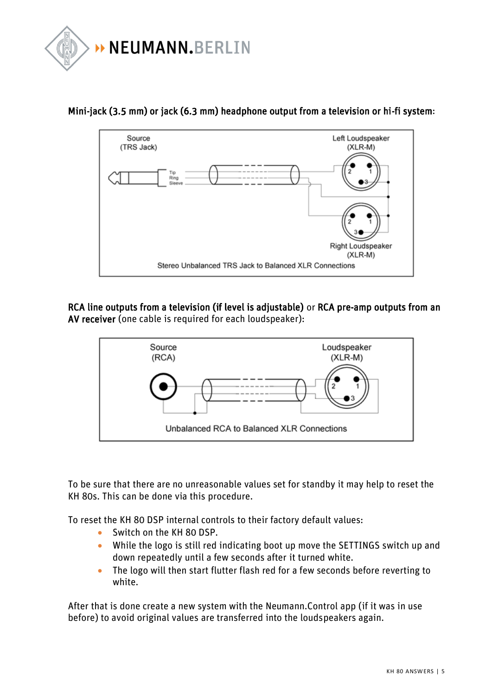



### Mini-jack (3.5 mm) or jack (6.3 mm) headphone output from a television or hi-fi system:

RCA line outputs from a television (if level is adjustable) or RCA pre-amp outputs from an AV receiver (one cable is required for each loudspeaker):



To be sure that there are no unreasonable values set for standby it may help to reset the KH 80s. This can be done via this procedure.

To reset the KH 80 DSP internal controls to their factory default values:

- Switch on the KH 80 DSP.
- While the logo is still red indicating boot up move the SETTINGS switch up and down repeatedly until a few seconds after it turned white.
- The logo will then start flutter flash red for a few seconds before reverting to white.

After that is done create a new system with the Neumann.Control app (if it was in use before) to avoid original values are transferred into the loudspeakers again.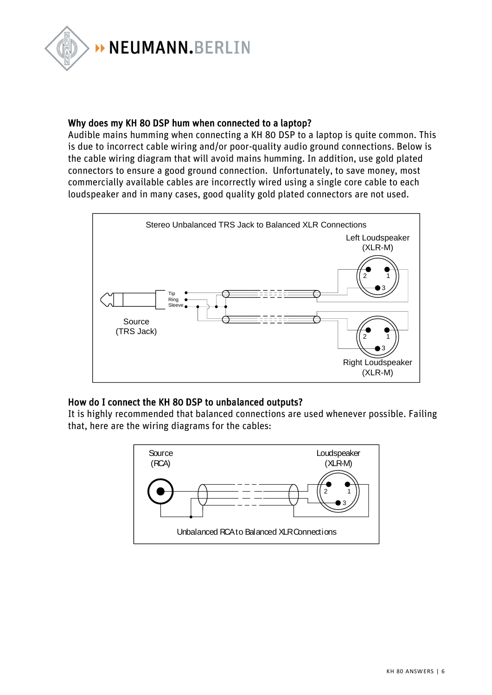

#### Why does my KH 80 DSP hum when connected to a laptop?

Audible mains humming when connecting a KH 80 DSP to a laptop is quite common. This is due to incorrect cable wiring and/or poor-quality audio ground connections. Below is the cable wiring diagram that will avoid mains humming. In addition, use gold plated connectors to ensure a good ground connection. Unfortunately, to save money, most commercially available cables are incorrectly wired using a single core cable to each loudspeaker and in many cases, good quality gold plated connectors are not used.



#### How do I connect the KH 80 DSP to unbalanced outputs?

It is highly recommended that balanced connections are used whenever possible. Failing that, here are the wiring diagrams for the cables:

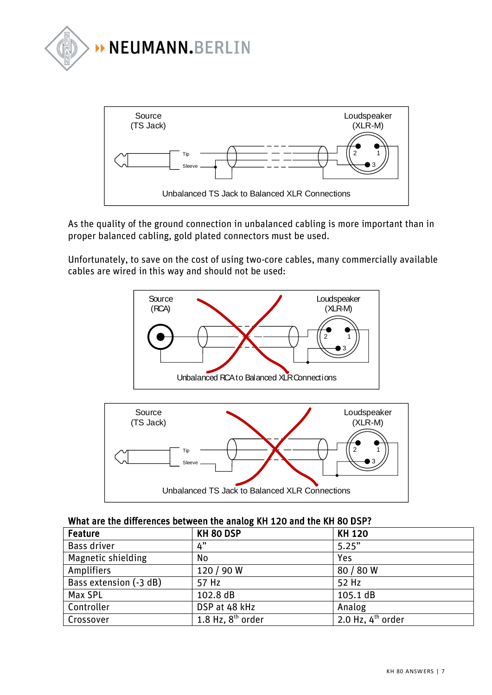



As the quality of the ground connection in unbalanced cabling is more important than in proper balanced cabling, gold plated connectors must be used.

Unfortunately, to save on the cost of using two-core cables, many commercially available cables are wired in this way and should not be used:





#### What are the differences between the analog KH 120 and the KH 80 DSP?

| Feature                   | KH 80 DSP           | <b>KH 120</b>                 |
|---------------------------|---------------------|-------------------------------|
| Bass driver               | 4"                  | 5.25"                         |
| <b>Magnetic shielding</b> | No                  | Yes                           |
| Amplifiers                | 120 / 90 W          | 80 / 80 W                     |
| Bass extension (-3 dB)    | 57 Hz               | 52 Hz                         |
| Max SPL                   | 102.8 dB            | 105.1 dB                      |
| Controller                | DSP at 48 kHz       | Analog                        |
| Crossover                 | 1.8 Hz, $8th$ order | 2.0 Hz, $4^{\text{th}}$ order |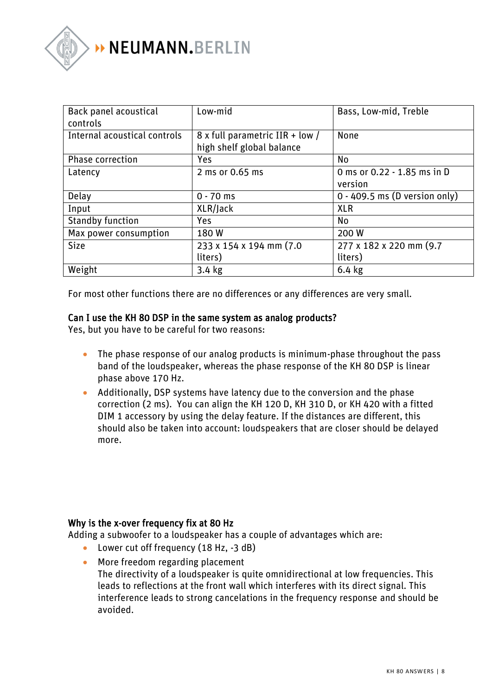

| Back panel acoustical<br>controls | Low-mid                                                      | Bass, Low-mid, Treble                  |
|-----------------------------------|--------------------------------------------------------------|----------------------------------------|
| Internal acoustical controls      | 8 x full parametric IIR + low /<br>high shelf global balance | None                                   |
| <b>Phase correction</b>           | Yes                                                          | No                                     |
| Latency                           | 2 ms or 0.65 ms                                              | 0 ms or 0.22 - 1.85 ms in D<br>version |
| Delay                             | $0 - 70$ ms                                                  | $0 - 409.5$ ms (D version only)        |
| Input                             | XLR/Jack                                                     | <b>XLR</b>                             |
| <b>Standby function</b>           | <b>Yes</b>                                                   | No                                     |
| Max power consumption             | 180W                                                         | 200 W                                  |
| <b>Size</b>                       | 233 x 154 x 194 mm (7.0)<br>liters)                          | 277 x 182 x 220 mm (9.7)<br>liters)    |
| Weight                            | $3.4$ kg                                                     | $6.4$ kg                               |

For most other functions there are no differences or any differences are very small.

#### Can I use the KH 80 DSP in the same system as analog products?

Yes, but you have to be careful for two reasons:

- The phase response of our analog products is minimum-phase throughout the pass band of the loudspeaker, whereas the phase response of the KH 80 DSP is linear phase above 170 Hz.
- Additionally, DSP systems have latency due to the conversion and the phase correction (2 ms). You can align the KH 120 D, KH 310 D, or KH 420 with a fitted DIM 1 accessory by using the delay feature. If the distances are different, this should also be taken into account: loudspeakers that are closer should be delayed more.

#### Why is the x-over frequency fix at 80 Hz

Adding a subwoofer to a loudspeaker has a couple of advantages which are:

- Lower cut off frequency (18 Hz, -3 dB)
- More freedom regarding placement The directivity of a loudspeaker is quite omnidirectional at low frequencies. This leads to reflections at the front wall which interferes with its direct signal. This interference leads to strong cancelations in the frequency response and should be avoided.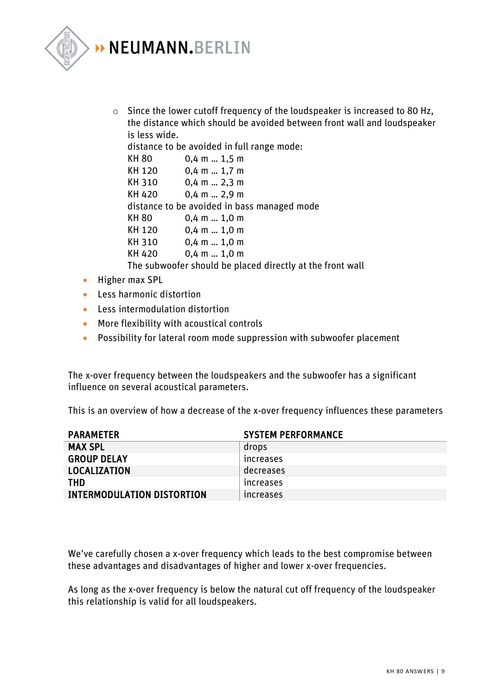

o Since the lower cutoff frequency of the loudspeaker is increased to 80 Hz, the distance which should be avoided between front wall and loudspeaker is less wide.

distance to be avoided in full range mode:

| KH 80  | $0,4$ m $$ 1,5 m                                          |
|--------|-----------------------------------------------------------|
| KH 120 | $0,4$ m  1,7 m                                            |
| KH 310 | $0,4$ m  2,3 m                                            |
| KH 420 | $0,4$ m  2,9 m                                            |
|        | distance to be avoided in bass managed mode               |
| KH 80  | $0,4$ m  1,0 m                                            |
| KH 120 | $0,4$ m $1,0$ m                                           |
| KH 310 | $0,4$ m  1,0 m                                            |
| KH 420 | $0,4$ m $1,0$ m                                           |
|        | The subwoofer should be placed directly at the front wall |

- Higher max SPL
- Less harmonic distortion
- Less intermodulation distortion
- More flexibility with acoustical controls
- Possibility for lateral room mode suppression with subwoofer placement

The x-over frequency between the loudspeakers and the subwoofer has a significant influence on several acoustical parameters.

This is an overview of how a decrease of the x-over frequency influences these parameters

| <b>PARAMETER</b>                  | <b>SYSTEM PERFORMANCE</b> |
|-----------------------------------|---------------------------|
| <b>MAX SPL</b>                    | drops                     |
| <b>GROUP DELAY</b>                | <b>Increases</b>          |
| LOCALIZATION                      | decreases                 |
| THD                               | <b>Increases</b>          |
| <b>INTERMODULATION DISTORTION</b> | <b>Increases</b>          |

We've carefully chosen a x-over frequency which leads to the best compromise between these advantages and disadvantages of higher and lower x-over frequencies.

As long as the x-over frequency is below the natural cut off frequency of the loudspeaker this relationship is valid for all loudspeakers.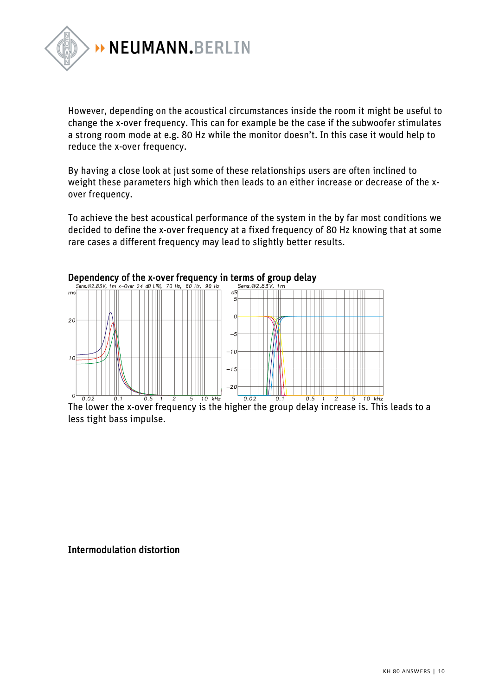

However, depending on the acoustical circumstances inside the room it might be useful to change the x-over frequency. This can for example be the case if the subwoofer stimulates a strong room mode at e.g. 80 Hz while the monitor doesn't. In this case it would help to reduce the x-over frequency.

By having a close look at just some of these relationships users are often inclined to weight these parameters high which then leads to an either increase or decrease of the xover frequency.

To achieve the best acoustical performance of the system in the by far most conditions we decided to define the x-over frequency at a fixed frequency of 80 Hz knowing that at some rare cases a different frequency may lead to slightly better results.



The lower the x-over frequency is the higher the group delay increase is. This leads to a less tight bass impulse.

#### Intermodulation distortion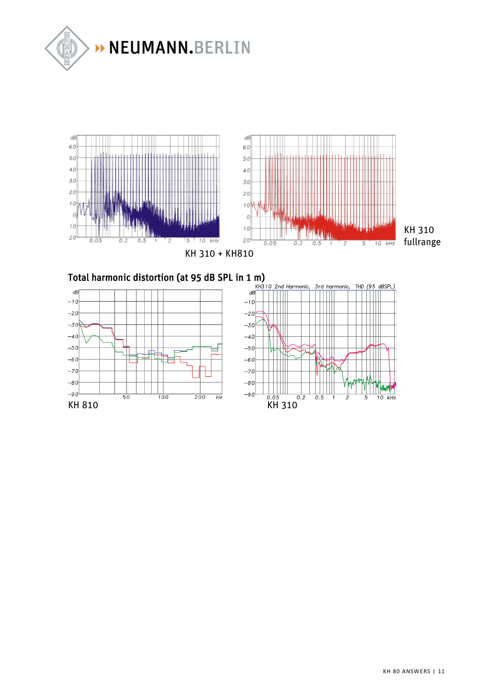



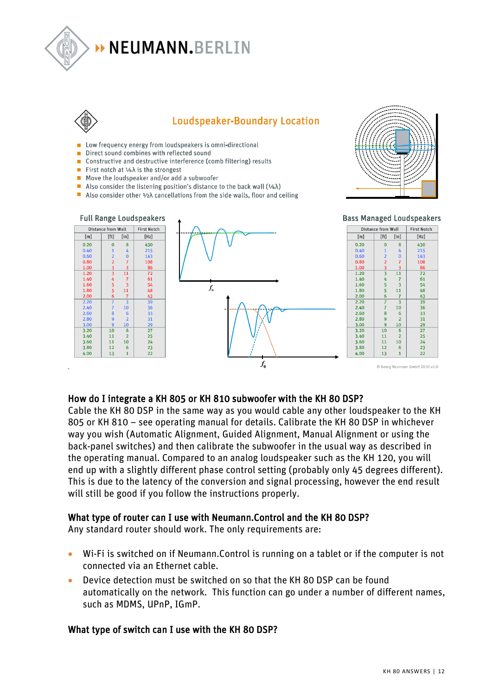

# > NEUMANN.BERLIN



## **Loudspeaker-Boundary Location**

- Low frequency energy from loudspeakers is omni-directional
- Direct sound combines with reflected sound
- Constructive and destructive interference (comb filtering) results
- First notch at  $\frac{1}{4}$  is the strongest
- $\blacksquare$  Move the loudspeaker and/or add a subwoofer
- Also consider the listening position's distance to the back wall  $(1/4\lambda)$
- Also consider other  $\frac{1}{2}\lambda$  cancellations from the side walls, floor and ceiling





#### How do I integrate a KH 805 or KH 810 subwoofer with the KH 80 DSP?

Cable the KH 80 DSP in the same way as you would cable any other loudspeaker to the KH 805 or KH 810 – see operating manual for details. Calibrate the KH 80 DSP in whichever way you wish (Automatic Alignment, Guided Alignment, Manual Alignment or using the back-panel switches) and then calibrate the subwoofer in the usual way as described in the operating manual. Compared to an analog loudspeaker such as the KH 120, you will end up with a slightly different phase control setting (probably only 45 degrees different). This is due to the latency of the conversion and signal processing, however the end result will still be good if you follow the instructions properly.

#### What type of router can I use with Neumann.Control and the KH 80 DSP?

Any standard router should work. The only requirements are:

- Wi-Fi is switched on if Neumann.Control is running on a tablet or if the computer is not connected via an Ethernet cable.
- Device detection must be switched on so that the KH 80 DSP can be found automatically on the network. This function can go under a number of different names, such as MDMS, UPnP, IGmP.

#### What type of switch can I use with the KH 80 DSP?